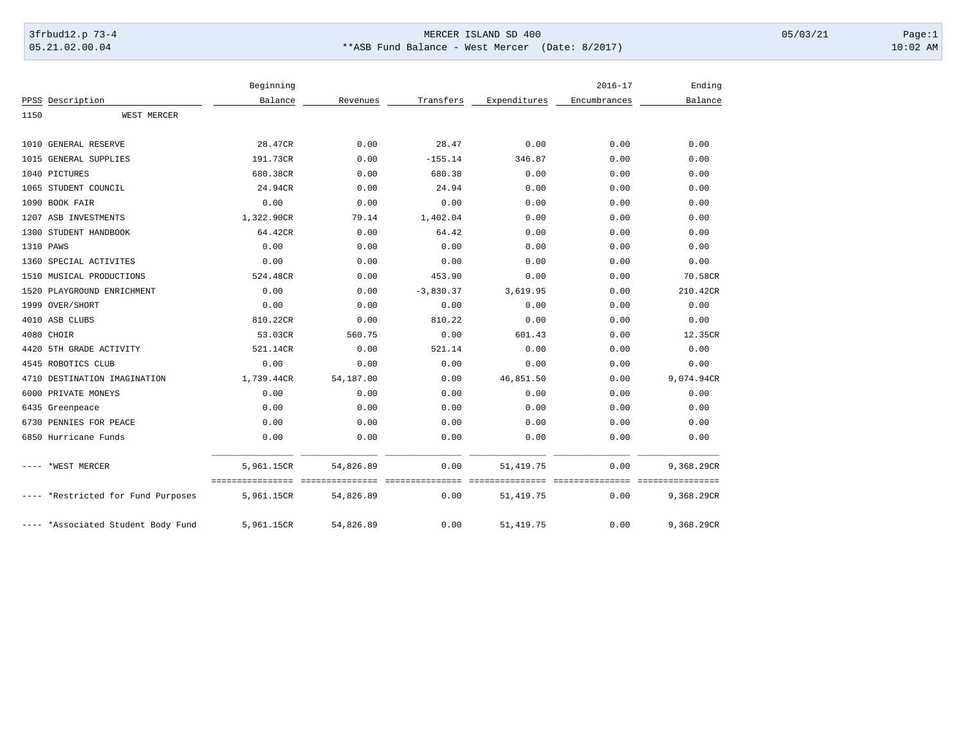## 3frbud12.p 73-4 Page:1 Page:1

05.21.02.00.04 \*\*ASB Fund Balance - West Mercer (Date: 8/2017) 10:02 AM

|      |                                    | Beginning  |                               |             |              | $2016 - 17$             | Ending                         |
|------|------------------------------------|------------|-------------------------------|-------------|--------------|-------------------------|--------------------------------|
|      | PPSS Description                   | Balance    | Revenues                      | Transfers   | Expenditures | Encumbrances            | Balance                        |
| 1150 | WEST MERCER                        |            |                               |             |              |                         |                                |
|      | 1010 GENERAL RESERVE               | 28.47CR    | 0.00                          | 28.47       | 0.00         | 0.00                    | 0.00                           |
|      | 1015 GENERAL SUPPLIES              | 191.73CR   | 0.00                          | $-155.14$   | 346.87       | 0.00                    | 0.00                           |
|      | 1040 PICTURES                      | 680.38CR   | 0.00                          | 680.38      | 0.00         | 0.00                    | 0.00                           |
|      | 1065 STUDENT COUNCIL               | 24.94CR    | 0.00                          | 24.94       | 0.00         | 0.00                    | 0.00                           |
|      | 1090 BOOK FAIR                     | 0.00       | 0.00                          | 0.00        | 0.00         | 0.00                    | 0.00                           |
|      | 1207 ASB INVESTMENTS               | 1,322.90CR | 79.14                         | 1,402.04    | 0.00         | 0.00                    | 0.00                           |
|      | 1300 STUDENT HANDBOOK              | 64.42CR    | 0.00                          | 64.42       | 0.00         | 0.00                    | 0.00                           |
|      | 1310 PAWS                          | 0.00       | 0.00                          | 0.00        | 0.00         | 0.00                    | 0.00                           |
|      | 1360 SPECIAL ACTIVITES             | 0.00       | 0.00                          | 0.00        | 0.00         | 0.00                    | 0.00                           |
|      | 1510 MUSICAL PRODUCTIONS           | 524.48CR   | 0.00                          | 453.90      | 0.00         | 0.00                    | 70.58CR                        |
|      | 1520 PLAYGROUND ENRICHMENT         | 0.00       | 0.00                          | $-3,830.37$ | 3,619.95     | 0.00                    | 210.42CR                       |
|      | 1999 OVER/SHORT                    | 0.00       | 0.00                          | 0.00        | 0.00         | 0.00                    | 0.00                           |
|      | 4010 ASB CLUBS                     | 810.22CR   | 0.00                          | 810.22      | 0.00         | 0.00                    | 0.00                           |
|      | 4080 CHOIR                         | 53.03CR    | 560.75                        | 0.00        | 601.43       | 0.00                    | 12.35CR                        |
| 4420 | 5TH GRADE ACTIVITY                 | 521.14CR   | 0.00                          | 521.14      | 0.00         | 0.00                    | 0.00                           |
|      | 4545 ROBOTICS CLUB                 | 0.00       | 0.00                          | 0.00        | 0.00         | 0.00                    | 0.00                           |
|      | 4710 DESTINATION IMAGINATION       | 1,739.44CR | 54,187.00                     | 0.00        | 46,851.50    | 0.00                    | 9,074.94CR                     |
| 6000 | PRIVATE MONEYS                     | 0.00       | 0.00                          | 0.00        | 0.00         | 0.00                    | 0.00                           |
|      | 6435 Greenpeace                    | 0.00       | 0.00                          | 0.00        | 0.00         | 0.00                    | 0.00                           |
|      | 6730 PENNIES FOR PEACE             | 0.00       | 0.00                          | 0.00        | 0.00         | 0.00                    | 0.00                           |
|      | 6850 Hurricane Funds               | 0.00       | 0.00                          | 0.00        | 0.00         | 0.00                    | 0.00                           |
|      | *WEST MERCER                       | 5,961.15CR | 54,826.89                     | 0.00        | 51, 419.75   | 0.00                    | 9,368.29CR                     |
|      | *Restricted for Fund Purposes      | 5,961.15CR | ________________<br>54,826.89 | 0.00        | 51, 419.75   | seesseesseesses<br>0.00 | ================<br>9,368.29CR |
|      | ---- *Associated Student Body Fund | 5,961.15CR | 54,826.89                     | 0.00        | 51, 419.75   | 0.00                    | 9,368.29CR                     |